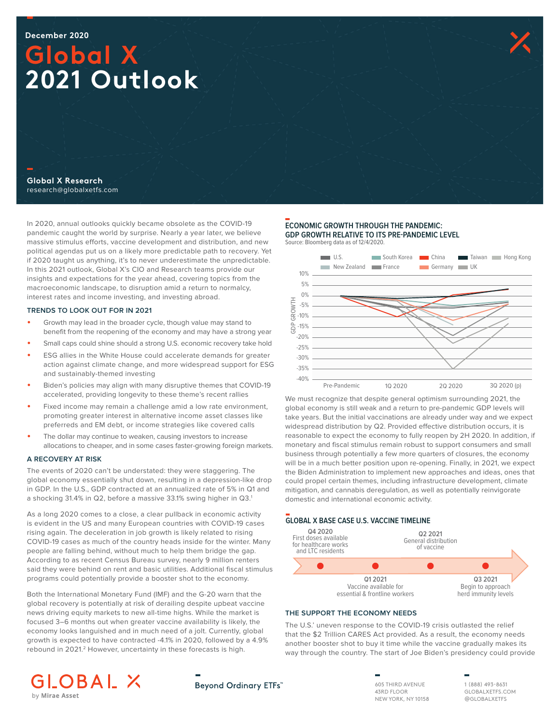# **Global X 2021 Outlook**

**Global X Research** research@globalxetfs.com

In 2020, annual outlooks quickly became obsolete as the COVID-19 pandemic caught the world by surprise. Nearly a year later, we believe massive stimulus efforts, vaccine development and distribution, and new political agendas put us on a likely more predictable path to recovery. Yet if 2020 taught us anything, it's to never underestimate the unpredictable. In this 2021 outlook, Global X's CIO and Research teams provide our insights and expectations for the year ahead, covering topics from the macroeconomic landscape, to disruption amid a return to normalcy, interest rates and income investing, and investing abroad.

#### **TRENDS TO LOOK OUT FOR IN 2021**

- Growth may lead in the broader cycle, though value may stand to benefit from the reopening of the economy and may have a strong year
- Small caps could shine should a strong U.S. economic recovery take hold
- ESG allies in the White House could accelerate demands for greater action against climate change, and more widespread support for ESG and sustainably-themed investing
- Biden's policies may align with many disruptive themes that COVID-19 accelerated, providing longevity to these theme's recent rallies
- Fixed income may remain a challenge amid a low rate environment, promoting greater interest in alternative income asset classes like preferreds and EM debt, or income strategies like covered calls
- The dollar may continue to weaken, causing investors to increase allocations to cheaper, and in some cases faster-growing foreign markets.

### **A RECOVERY AT RISK**

The events of 2020 can't be understated: they were staggering. The global economy essentially shut down, resulting in a depression-like drop in GDP. In the U.S., GDP contracted at an annualized rate of 5% in Q1 and a shocking 31.4% in Q2, before a massive 33.1% swing higher in Q3.1

As a long 2020 comes to a close, a clear pullback in economic activity is evident in the US and many European countries with COVID-19 cases rising again. The deceleration in job growth is likely related to rising COVID-19 cases as much of the country heads inside for the winter. Many people are falling behind, without much to help them bridge the gap. According to as recent Census Bureau survey, nearly 9 million renters said they were behind on rent and basic utilities. Additional fiscal stimulus programs could potentially provide a booster shot to the economy.

Both the International Monetary Fund (IMF) and the G-20 warn that the global recovery is potentially at risk of derailing despite upbeat vaccine news driving equity markets to new all-time highs. While the market is focused 3–6 months out when greater vaccine availability is likely, the economy looks languished and in much need of a jolt. Currently, global growth is expected to have contracted -4.1% in 2020, followed by a 4.9% rebound in 2021.<sup>2</sup> However, uncertainty in these forecasts is high.

#### **ECONOMIC GROWTH THROUGH THE PANDEMIC: GDP GROWTH RELATIVE TO ITS PRE-PANDEMIC LEVEL** Source: Bloomberg data as of 12/4/2020.



We must recognize that despite general optimism surrounding 2021, the global economy is still weak and a return to pre-pandemic GDP levels will take years. But the initial vaccinations are already under way and we expect widespread distribution by Q2. Provided effective distribution occurs, it is reasonable to expect the economy to fully reopen by 2H 2020. In addition, if monetary and fiscal stimulus remain robust to support consumers and small business through potentially a few more quarters of closures, the economy will be in a much better position upon re-opening. Finally, in 2021, we expect the Biden Administration to implement new approaches and ideas, ones that could propel certain themes, including infrastructure development, climate mitigation, and cannabis deregulation, as well as potentially reinvigorate domestic and international economic activity.

#### **GLOBAL X BASE CASE U.S. VACCINE TIMELINE**



#### **THE SUPPORT THE ECONOMY NEEDS**

The U.S.' uneven response to the COVID-19 crisis outlasted the relief that the \$2 Trillion CARES Act provided. As a result, the economy needs another booster shot to buy it time while the vaccine gradually makes its way through the country. The start of Joe Biden's presidency could provide





605 THIRD AVENUE 43RD FLOOR NEW YORK, NY 10158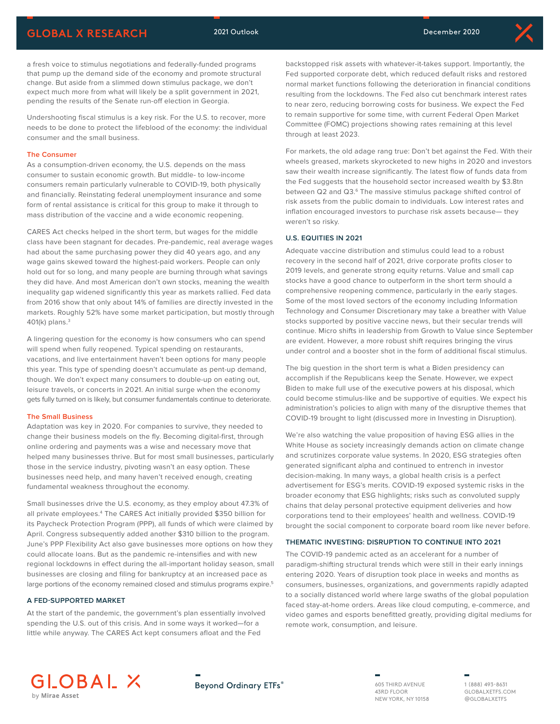

a fresh voice to stimulus negotiations and federally-funded programs that pump up the demand side of the economy and promote structural change. But aside from a slimmed down stimulus package, we don't expect much more from what will likely be a split government in 2021, pending the results of the Senate run-off election in Georgia.

Undershooting fiscal stimulus is a key risk. For the U.S. to recover, more needs to be done to protect the lifeblood of the economy: the individual consumer and the small business.

#### **The Consumer**

As a consumption-driven economy, the U.S. depends on the mass consumer to sustain economic growth. But middle- to low-income consumers remain particularly vulnerable to COVID-19, both physically and financially. Reinstating federal unemployment insurance and some form of rental assistance is critical for this group to make it through to mass distribution of the vaccine and a wide economic reopening.

CARES Act checks helped in the short term, but wages for the middle class have been stagnant for decades. Pre-pandemic, real average wages had about the same purchasing power they did 40 years ago, and any wage gains skewed toward the highest-paid workers. People can only hold out for so long, and many people are burning through what savings they did have. And most American don't own stocks, meaning the wealth inequality gap widened significantly this year as markets rallied. Fed data from 2016 show that only about 14% of families are directly invested in the markets. Roughly 52% have some market participation, but mostly through 401(k) plans.3

A lingering question for the economy is how consumers who can spend will spend when fully reopened. Typical spending on restaurants, vacations, and live entertainment haven't been options for many people this year. This type of spending doesn't accumulate as pent-up demand, though. We don't expect many consumers to double-up on eating out, leisure travels, or concerts in 2021. An initial surge when the economy gets fully turned on is likely, but consumer fundamentals continue to deteriorate.

#### **The Small Business**

Adaptation was key in 2020. For companies to survive, they needed to change their business models on the fly. Becoming digital-first, through online ordering and payments was a wise and necessary move that helped many businesses thrive. But for most small businesses, particularly those in the service industry, pivoting wasn't an easy option. These businesses need help, and many haven't received enough, creating fundamental weakness throughout the economy.

Small businesses drive the U.S. economy, as they employ about 47.3% of all private employees.<sup>4</sup> The CARES Act initially provided \$350 billion for its Paycheck Protection Program (PPP), all funds of which were claimed by April. Congress subsequently added another \$310 billion to the program. June's PPP Flexibility Act also gave businesses more options on how they could allocate loans. But as the pandemic re-intensifies and with new regional lockdowns in effect during the all-important holiday season, small businesses are closing and filing for bankruptcy at an increased pace as large portions of the economy remained closed and stimulus programs expire.<sup>5</sup>

#### **A FED-SUPPORTED MARKET**

At the start of the pandemic, the government's plan essentially involved spending the U.S. out of this crisis. And in some ways it worked—for a little while anyway. The CARES Act kept consumers afloat and the Fed

backstopped risk assets with whatever-it-takes support. Importantly, the Fed supported corporate debt, which reduced default risks and restored normal market functions following the deterioration in financial conditions resulting from the lockdowns. The Fed also cut benchmark interest rates to near zero, reducing borrowing costs for business. We expect the Fed to remain supportive for some time, with current Federal Open Market Committee (FOMC) projections showing rates remaining at this level through at least 2023.

For markets, the old adage rang true: Don't bet against the Fed. With their wheels greased, markets skyrocketed to new highs in 2020 and investors saw their wealth increase significantly. The latest flow of funds data from the Fed suggests that the household sector increased wealth by \$3.8tn between Q2 and Q3.<sup>6</sup> The massive stimulus package shifted control of risk assets from the public domain to individuals. Low interest rates and inflation encouraged investors to purchase risk assets because— they weren't so risky.

#### **U.S. EQUITIES IN 2021**

Adequate vaccine distribution and stimulus could lead to a robust recovery in the second half of 2021, drive corporate profits closer to 2019 levels, and generate strong equity returns. Value and small cap stocks have a good chance to outperform in the short term should a comprehensive reopening commence, particularly in the early stages. Some of the most loved sectors of the economy including Information Technology and Consumer Discretionary may take a breather with Value stocks supported by positive vaccine news, but their secular trends will continue. Micro shifts in leadership from Growth to Value since September are evident. However, a more robust shift requires bringing the virus under control and a booster shot in the form of additional fiscal stimulus.

The big question in the short term is what a Biden presidency can accomplish if the Republicans keep the Senate. However, we expect Biden to make full use of the executive powers at his disposal, which could become stimulus-like and be supportive of equities. We expect his administration's policies to align with many of the disruptive themes that COVID-19 brought to light (discussed more in Investing in Disruption).

We're also watching the value proposition of having ESG allies in the White House as society increasingly demands action on climate change and scrutinizes corporate value systems. In 2020, ESG strategies often generated significant alpha and continued to entrench in investor decision-making. In many ways, a global health crisis is a perfect advertisement for ESG's merits. COVID-19 exposed systemic risks in the broader economy that ESG highlights; risks such as convoluted supply chains that delay personal protective equipment deliveries and how corporations tend to their employees' health and wellness. COVID-19 brought the social component to corporate board room like never before.

#### **THEMATIC INVESTING: DISRUPTION TO CONTINUE INTO 2021**

The COVID-19 pandemic acted as an accelerant for a number of paradigm-shifting structural trends which were still in their early innings entering 2020. Years of disruption took place in weeks and months as consumers, businesses, organizations, and governments rapidly adapted to a socially distanced world where large swaths of the global population faced stay-at-home orders. Areas like cloud computing, e-commerce, and video games and esports benefitted greatly, providing digital mediums for remote work, consumption, and leisure.



**Beyond Ordinary ETFs®** 

605 THIRD AVENUE 43RD FLOOR NEW YORK, NY 10158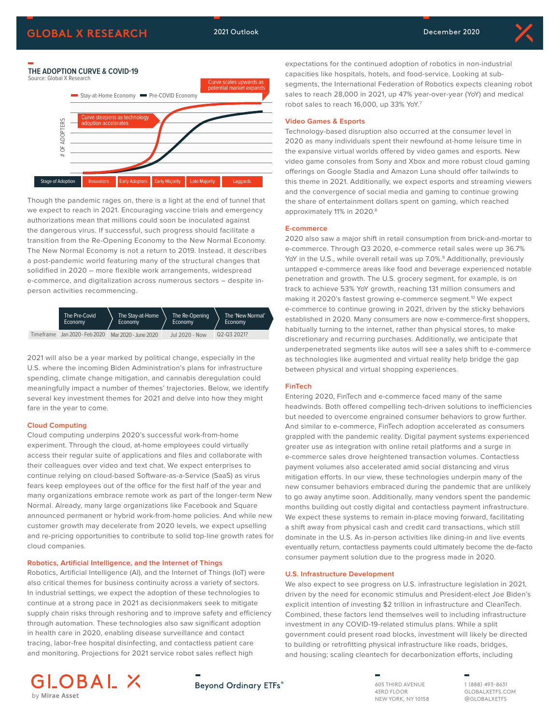



Though the pandemic rages on, there is a light at the end of tunnel that we expect to reach in 2021. Encouraging vaccine trials and emergency authorizations mean that millions could soon be inoculated against the dangerous virus. If successful, such progress should facilitate a transition from the Re-Opening Economy to the New Normal Economy. The New Normal Economy is not a return to 2019. Instead, it describes a post-pandemic world featuring many of the structural changes that solidified in 2020 – more flexible work arrangements, widespread e-commerce, and digitalization across numerous sectors – despite inperson activities recommencing.



2021 will also be a year marked by political change, especially in the U.S. where the incoming Biden Administration's plans for infrastructure spending, climate change mitigation, and cannabis deregulation could meaningfully impact a number of themes' trajectories. Below, we identify several key investment themes for 2021 and delve into how they might fare in the year to come.

#### **Cloud Computing**

Cloud computing underpins 2020's successful work-from-home experiment. Through the cloud, at-home employees could virtually access their regular suite of applications and files and collaborate with their colleagues over video and text chat. We expect enterprises to continue relying on cloud-based Software-as-a-Service (SaaS) as virus fears keep employees out of the office for the first half of the year and many organizations embrace remote work as part of the longer-term New Normal. Already, many large organizations like Facebook and Square announced permanent or hybrid work-from-home policies. And while new customer growth may decelerate from 2020 levels, we expect upselling and re-pricing opportunities to contribute to solid top-line growth rates for cloud companies.

#### **Robotics, Artificial Intelligence, and the Internet of Things**

Robotics, Artificial Intelligence (AI), and the Internet of Things (IoT) were also critical themes for business continuity across a variety of sectors. In industrial settings, we expect the adoption of these technologies to continue at a strong pace in 2021 as decisionmakers seek to mitigate supply chain risks through reshoring and to improve safety and efficiency through automation. These technologies also saw significant adoption in health care in 2020, enabling disease surveillance and contact tracing, labor-free hospital disinfecting, and contactless patient care and monitoring. Projections for 2021 service robot sales reflect high

expectations for the continued adoption of robotics in non-industrial capacities like hospitals, hotels, and food-service. Looking at subsegments, the International Federation of Robotics expects cleaning robot sales to reach 28,000 in 2021, up 47% year-over-year (YoY) and medical robot sales to reach 16,000, up 33% YoY.<sup>7</sup>

#### **Video Games & Esports**

Technology-based disruption also occurred at the consumer level in 2020 as many individuals spent their newfound at-home leisure time in the expansive virtual worlds offered by video games and esports. New video game consoles from Sony and Xbox and more robust cloud gaming offerings on Google Stadia and Amazon Luna should offer tailwinds to this theme in 2021. Additionally, we expect esports and streaming viewers and the convergence of social media and gaming to continue growing the share of entertainment dollars spent on gaming, which reached approximately 11% in 2020.<sup>8</sup>

#### **E-commerce**

2020 also saw a major shift in retail consumption from brick-and-mortar to e-commerce. Through Q3 2020, e-commerce retail sales were up 36.7% YoY in the U.S., while overall retail was up 7.0%.<sup>9</sup> Additionally, previously untapped e-commerce areas like food and beverage experienced notable penetration and growth. The U.S. grocery segment, for example, is on track to achieve 53% YoY growth, reaching 131 million consumers and making it 2020's fastest growing e-commerce segment.<sup>10</sup> We expect e-commerce to continue growing in 2021, driven by the sticky behaviors established in 2020. Many consumers are now e-commerce-first shoppers, habitually turning to the internet, rather than physical stores, to make discretionary and recurring purchases. Additionally, we anticipate that underpenetrated segments like autos will see a sales shift to e-commerce as technologies like augmented and virtual reality help bridge the gap between physical and virtual shopping experiences.

#### **FinTech**

Entering 2020, FinTech and e-commerce faced many of the same headwinds. Both offered compelling tech-driven solutions to inefficiencies but needed to overcome engrained consumer behaviors to grow further. And similar to e-commerce, FinTech adoption accelerated as consumers grappled with the pandemic reality. Digital payment systems experienced greater use as integration with online retail platforms and a surge in e-commerce sales drove heightened transaction volumes. Contactless payment volumes also accelerated amid social distancing and virus mitigation efforts. In our view, these technologies underpin many of the new consumer behaviors embraced during the pandemic that are unlikely to go away anytime soon. Additionally, many vendors spent the pandemic months building out costly digital and contactless payment infrastructure. We expect these systems to remain in-place moving forward, facilitating a shift away from physical cash and credit card transactions, which still dominate in the U.S. As in-person activities like dining-in and live events eventually return, contactless payments could ultimately become the de-facto consumer payment solution due to the progress made in 2020.

#### **U.S. Infrastructure Development**

We also expect to see progress on U.S. infrastructure legislation in 2021, driven by the need for economic stimulus and President-elect Joe Biden's explicit intention of investing \$2 trillion in infrastructure and CleanTech. Combined, these factors lend themselves well to including infrastructure investment in any COVID-19-related stimulus plans. While a split government could present road blocks, investment will likely be directed to building or retrofitting physical infrastructure like roads, bridges, and housing; scaling cleantech for decarbonization efforts, including





605 THIRD AVENUE 43RD FLOOR NEW YORK, NY 10158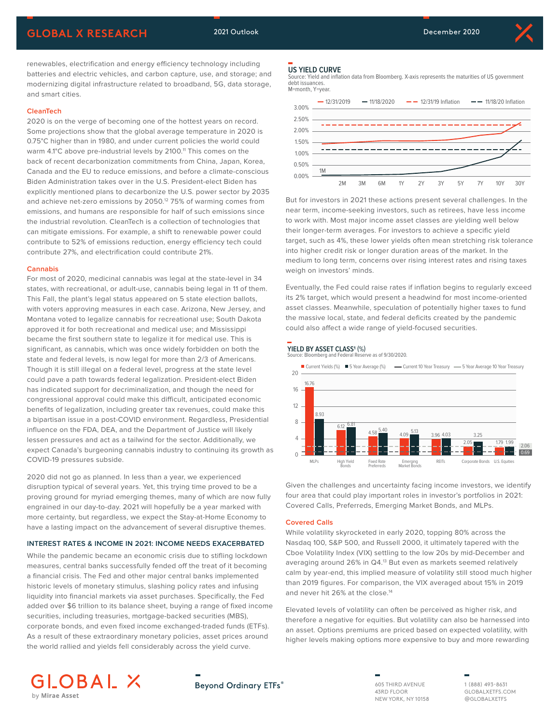

renewables, electrification and energy efficiency technology including batteries and electric vehicles, and carbon capture, use, and storage; and modernizing digital infrastructure related to broadband, 5G, data storage, and smart cities.

#### **CleanTech**

2020 is on the verge of becoming one of the hottest years on record. Some projections show that the global average temperature in 2020 is 0.75°C higher than in 1980, and under current policies the world could warm 4.1°C above pre-industrial levels by 2100.<sup>11</sup> This comes on the back of recent decarbonization commitments from China, Japan, Korea, Canada and the EU to reduce emissions, and before a climate-conscious Biden Administration takes over in the U.S. President-elect Biden has explicitly mentioned plans to decarbonize the U.S. power sector by 2035 and achieve net-zero emissions by 2050.<sup>12</sup> 75% of warming comes from emissions, and humans are responsible for half of such emissions since the industrial revolution. CleanTech is a collection of technologies that can mitigate emissions. For example, a shift to renewable power could contribute to 52% of emissions reduction, energy efficiency tech could contribute 27%, and electrification could contribute 21%.

#### **Cannabis**

For most of 2020, medicinal cannabis was legal at the state-level in 34 states, with recreational, or adult-use, cannabis being legal in 11 of them. This Fall, the plant's legal status appeared on 5 state election ballots, with voters approving measures in each case. Arizona, New Jersey, and Montana voted to legalize cannabis for recreational use; South Dakota approved it for both recreational and medical use; and Mississippi became the first southern state to legalize it for medical use. This is significant, as cannabis, which was once widely forbidden on both the state and federal levels, is now legal for more than 2/3 of Americans. Though it is still illegal on a federal level, progress at the state level could pave a path towards federal legalization. President-elect Biden has indicated support for decriminalization, and though the need for congressional approval could make this difficult, anticipated economic benefits of legalization, including greater tax revenues, could make this a bipartisan issue in a post-COVID environment. Regardless, Presidential influence on the FDA, DEA, and the Department of Justice will likely lessen pressures and act as a tailwind for the sector. Additionally, we expect Canada's burgeoning cannabis industry to continuing its growth as COVID-19 pressures subside.

2020 did not go as planned. In less than a year, we experienced disruption typical of several years. Yet, this trying time proved to be a proving ground for myriad emerging themes, many of which are now fully engrained in our day-to-day. 2021 will hopefully be a year marked with more certainty, but regardless, we expect the Stay-at-Home Economy to have a lasting impact on the advancement of several disruptive themes.

#### **INTEREST RATES & INCOME IN 2021: INCOME NEEDS EXACERBATED**

While the pandemic became an economic crisis due to stifling lockdown measures, central banks successfully fended off the treat of it becoming a financial crisis. The Fed and other major central banks implemented historic levels of monetary stimulus, slashing policy rates and infusing liquidity into financial markets via asset purchases. Specifically, the Fed added over \$6 trillion to its balance sheet, buying a range of fixed income securities, including treasuries, mortgage-backed securities (MBS), corporate bonds, and even fixed income exchanged-traded funds (ETFs). As a result of these extraordinary monetary policies, asset prices around the world rallied and yields fell considerably across the yield curve.

## **US YIELD CURVE**

Source: Yield and inflation data from Bloomberg. X-axis represents the maturities of US government debt issuances. M=month, Y=year.



But for investors in 2021 these actions present several challenges. In the near term, income-seeking investors, such as retirees, have less income to work with. Most major income asset classes are yielding well below their longer-term averages. For investors to achieve a specific yield target, such as 4%, these lower yields often mean stretching risk tolerance into higher credit risk or longer duration areas of the market. In the medium to long term, concerns over rising interest rates and rising taxes weigh on investors' minds.

Eventually, the Fed could raise rates if inflation begins to regularly exceed its 2% target, which would present a headwind for most income-oriented asset classes. Meanwhile, speculation of potentially higher taxes to fund the massive local, state, and federal deficits created by the pandemic could also affect a wide range of yield-focused securities.





Given the challenges and uncertainty facing income investors, we identify four area that could play important roles in investor's portfolios in 2021: Covered Calls, Preferreds, Emerging Market Bonds, and MLPs.

#### **Covered Calls**

While volatility skyrocketed in early 2020, topping 80% across the Nasdaq 100, S&P 500, and Russell 2000, it ultimately tapered with the Cboe Volatility Index (VIX) settling to the low 20s by mid-December and averaging around 26% in Q4.<sup>13</sup> But even as markets seemed relatively calm by year-end, this implied measure of volatility still stood much higher than 2019 figures. For comparison, the VIX averaged about 15% in 2019 and never hit 26% at the close.<sup>14</sup>

Elevated levels of volatility can often be perceived as higher risk, and therefore a negative for equities. But volatility can also be harnessed into an asset. Options premiums are priced based on expected volatility, with higher levels making options more expensive to buy and more rewarding



605 THIRD AVENUE 43RD FLOOR NEW YORK, NY 10158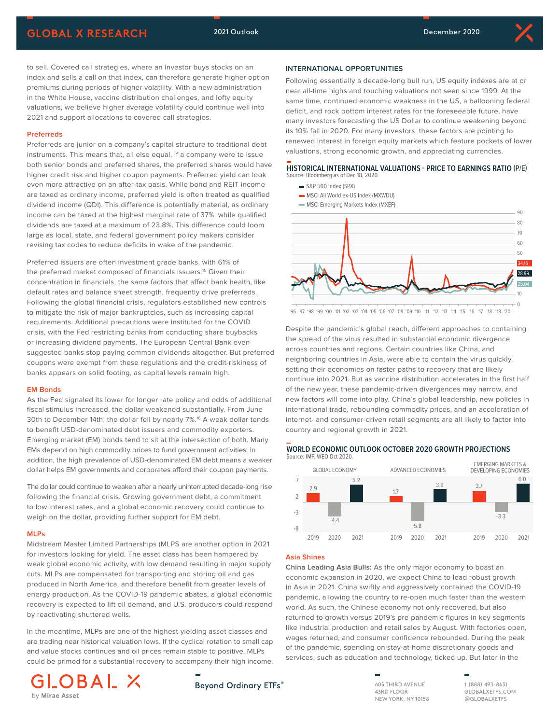Following essentially a decade-long bull run, US equity indexes are at or near all-time highs and touching valuations not seen since 1999. At the same time, continued economic weakness in the US, a ballooning federal deficit, and rock bottom interest rates for the foreseeable future, have many investors forecasting the US Dollar to continue weakening beyond its 10% fall in 2020. For many investors, these factors are pointing to renewed interest in foreign equity markets which feature pockets of lower valuations, strong economic growth, and appreciating currencies.

**HISTORICAL INTERNATIONAL VALUATIONS - PRICE TO EARNINGS RATIO** (P/E)

10 0

34.16 28.99

to sell. Covered call strategies, where an investor buys stocks on an index and sells a call on that index, can therefore generate higher option premiums during periods of higher volatility. With a new administration in the White House, vaccine distribution challenges, and lofty equity valuations, we believe higher average volatility could continue well into 2021 and support allocations to covered call strategies.

#### **Preferreds**

Preferreds are junior on a company's capital structure to traditional debt instruments. This means that, all else equal, if a company were to issue both senior bonds and preferred shares, the preferred shares would have higher credit risk and higher coupon payments. Preferred yield can look even more attractive on an after-tax basis. While bond and REIT income are taxed as ordinary income, preferred yield is often treated as qualified dividend income (QDI). This difference is potentially material, as ordinary income can be taxed at the highest marginal rate of 37%, while qualified dividends are taxed at a maximum of 23.8%. This difference could loom large as local, state, and federal government policy makers consider revising tax codes to reduce deficits in wake of the pandemic.

Preferred issuers are often investment grade banks, with 61% of the preferred market composed of financials issuers.15 Given their concentration in financials, the same factors that affect bank health, like default rates and balance sheet strength, frequently drive preferreds. Following the global financial crisis, regulators established new controls to mitigate the risk of major bankruptcies, such as increasing capital requirements. Additional precautions were instituted for the COVID crisis, with the Fed restricting banks from conducting share buybacks or increasing dividend payments. The European Central Bank even suggested banks stop paying common dividends altogether. But preferred coupons were exempt from these regulations and the credit-riskiness of banks appears on solid footing, as capital levels remain high.

#### **EM Bonds**

As the Fed signaled its lower for longer rate policy and odds of additional fiscal stimulus increased, the dollar weakened substantially. From June 30th to December 14th, the dollar fell by nearly 7%.<sup>16</sup> A weak dollar tends to benefit USD-denominated debt issuers and commodity exporters. Emerging market (EM) bonds tend to sit at the intersection of both. Many EMs depend on high commodity prices to fund government activities. In addition, the high prevalence of USD-denominated EM debt means a weaker dollar helps EM governments and corporates afford their coupon payments.

The dollar could continue to weaken after a nearly uninterrupted decade-long rise following the financial crisis. Growing government debt, a commitment to low interest rates, and a global economic recovery could continue to weigh on the dollar, providing further support for EM debt.

#### **MLPs**

Midstream Master Limited Partnerships (MLPS are another option in 2021 for investors looking for yield. The asset class has been hampered by weak global economic activity, with low demand resulting in major supply cuts. MLPs are compensated for transporting and storing oil and gas produced in North America, and therefore benefit from greater levels of energy production. As the COVID-19 pandemic abates, a global economic recovery is expected to lift oil demand, and U.S. producers could respond by reactivating shuttered wells.

In the meantime, MLPs are one of the highest-yielding asset classes and are trading near historical valuation lows. If the cyclical rotation to small cap and value stocks continues and oil prices remain stable to positive, MLPs could be primed for a substantial recovery to accompany their high income.



**INTERNATIONAL OPPORTUNITIES**

Source: Bloomberg as of Dec 18, 2020. S&P 500 Index (SPX)

> MSCI All World ex-US Index (MXWDU)  $\blacksquare$  MSCI Emerging Markets Index (MXEF)

setting their economies on faster paths to recovery that are likely continue into 2021. But as vaccine distribution accelerates in the first half of the new year, these pandemic-driven divergences may narrow, and new factors will come into play. China's global leadership, new policies in international trade, rebounding commodity prices, and an acceleration of internet- and consumer-driven retail segments are all likely to factor into country and regional growth in 2021.

Despite the pandemic's global reach, different approaches to containing the spread of the virus resulted in substantial economic divergence across countries and regions. Certain countries like China, and neighboring countries in Asia, were able to contain the virus quickly,

'96 '97 '98 '99 '00 '01 '02 '03 '04 '05 '06 '07 '08 '09 '10 '11 '12 '13 '14 '15 '16 '17 '18 '18 '20

### **WORLD ECONOMIC OUTLOOK OCTOBER 2020 GROWTH PROJECTIONS**



#### **Asia Shines**

**Bevond Ordinary ETFs®** 

**China Leading Asia Bulls:** As the only major economy to boast an economic expansion in 2020, we expect China to lead robust growth in Asia in 2021. China swiftly and aggressively contained the COVID-19 pandemic, allowing the country to re-open much faster than the western world. As such, the Chinese economy not only recovered, but also returned to growth versus 2019's pre-pandemic figures in key segments like industrial production and retail sales by August. With factories open, wages returned, and consumer confidence rebounded. During the peak of the pandemic, spending on stay-at-home discretionary goods and services, such as education and technology, ticked up. But later in the

> 605 THIRD AVENUE 43RD FLOOR NEW YORK, NY 10158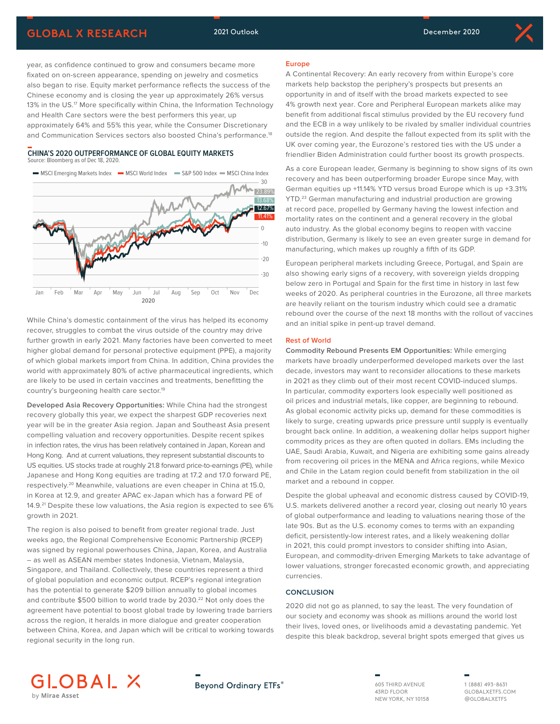# **GLOBAL X RESEARCH** 2021 Outlook 2021 Outlook December 2020

year, as confidence continued to grow and consumers became more fixated on on-screen appearance, spending on jewelry and cosmetics also began to rise. Equity market performance reflects the success of the Chinese economy and is closing the year up approximately 26% versus 13% in the US.<sup>17</sup> More specifically within China, the Information Technology and Health Care sectors were the best performers this year, up approximately 64% and 55% this year, while the Consumer Discretionary and Communication Services sectors also boosted China's performance.<sup>18</sup>

#### **CHINA'S 2020 OUTPERFORMANCE OF GLOBAL EQUITY MARKETS** Source: Bloomberg as of Dec 18, 2020.

MSCI Emerging Markets Index - MSCI World Index - S&P 500 Index - MSCI China Index



While China's domestic containment of the virus has helped its economy recover, struggles to combat the virus outside of the country may drive further growth in early 2021. Many factories have been converted to meet higher global demand for personal protective equipment (PPE), a majority of which global markets import from China. In addition, China provides the world with approximately 80% of active pharmaceutical ingredients, which are likely to be used in certain vaccines and treatments, benefitting the country's burgeoning health care sector.<sup>19</sup>

**Developed Asia Recovery Opportunities:** While China had the strongest recovery globally this year, we expect the sharpest GDP recoveries next year will be in the greater Asia region. Japan and Southeast Asia present compelling valuation and recovery opportunities. Despite recent spikes in infection rates, the virus has been relatively contained in Japan, Korean and Hong Kong. And at current valuations, they represent substantial discounts to US equities. US stocks trade at roughly 21.8 forward price-to-earnings (PE), while Japanese and Hong Kong equities are trading at 17.2 and 17.0 forward PE, respectively.20 Meanwhile, valuations are even cheaper in China at 15.0, in Korea at 12.9, and greater APAC ex-Japan which has a forward PE of 14.9.<sup>21</sup> Despite these low valuations, the Asia region is expected to see 6% growth in 2021.

The region is also poised to benefit from greater regional trade. Just weeks ago, the Regional Comprehensive Economic Partnership (RCEP) was signed by regional powerhouses China, Japan, Korea, and Australia – as well as ASEAN member states Indonesia, Vietnam, Malaysia, Singapore, and Thailand. Collectively, these countries represent a third of global population and economic output. RCEP's regional integration has the potential to generate \$209 billion annually to global incomes and contribute \$500 billion to world trade by 2030.<sup>22</sup> Not only does the agreement have potential to boost global trade by lowering trade barriers across the region, it heralds in more dialogue and greater cooperation between China, Korea, and Japan which will be critical to working towards regional security in the long run.

#### **Europe**

A Continental Recovery: An early recovery from within Europe's core markets help backstop the periphery's prospects but presents an opportunity in and of itself with the broad markets expected to see 4% growth next year. Core and Peripheral European markets alike may benefit from additional fiscal stimulus provided by the EU recovery fund and the ECB in a way unlikely to be rivaled by smaller individual countries outside the region. And despite the fallout expected from its split with the UK over coming year, the Eurozone's restored ties with the US under a friendlier Biden Administration could further boost its growth prospects.

As a core European leader, Germany is beginning to show signs of its own recovery and has been outperforming broader Europe since May, with German equities up +11.14% YTD versus broad Europe which is up +3.31% YTD.<sup>23</sup> German manufacturing and industrial production are growing at record pace, propelled by Germany having the lowest infection and mortality rates on the continent and a general recovery in the global auto industry. As the global economy begins to reopen with vaccine distribution, Germany is likely to see an even greater surge in demand for manufacturing, which makes up roughly a fifth of its GDP.

European peripheral markets including Greece, Portugal, and Spain are also showing early signs of a recovery, with sovereign yields dropping below zero in Portugal and Spain for the first time in history in last few weeks of 2020. As peripheral countries in the Eurozone, all three markets are heavily reliant on the tourism industry which could see a dramatic rebound over the course of the next 18 months with the rollout of vaccines and an initial spike in pent-up travel demand.

#### **Rest of World**

**Commodity Rebound Presents EM Opportunities:** While emerging markets have broadly underperformed developed markets over the last decade, investors may want to reconsider allocations to these markets in 2021 as they climb out of their most recent COVID-induced slumps. In particular, commodity exporters look especially well positioned as oil prices and industrial metals, like copper, are beginning to rebound. As global economic activity picks up, demand for these commodities is likely to surge, creating upwards price pressure until supply is eventually brought back online. In addition, a weakening dollar helps support higher commodity prices as they are often quoted in dollars. EMs including the UAE, Saudi Arabia, Kuwait, and Nigeria are exhibiting some gains already from recovering oil prices in the MENA and Africa regions, while Mexico and Chile in the Latam region could benefit from stabilization in the oil market and a rebound in copper.

Despite the global upheaval and economic distress caused by COVID-19, U.S. markets delivered another a record year, closing out nearly 10 years of global outperformance and leading to valuations nearing those of the late 90s. But as the U.S. economy comes to terms with an expanding deficit, persistently-low interest rates, and a likely weakening dollar in 2021, this could prompt investors to consider shifting into Asian, European, and commodity-driven Emerging Markets to take advantage of lower valuations, stronger forecasted economic growth, and appreciating currencies.

#### **CONCLUSION**

2020 did not go as planned, to say the least. The very foundation of our society and economy was shook as millions around the world lost their lives, loved ones, or livelihoods amid a devastating pandemic. Yet despite this bleak backdrop, several bright spots emerged that gives us



# **Beyond Ordinary ETFs®**

605 THIRD AVENUE 43RD FLOOR NEW YORK, NY 10158